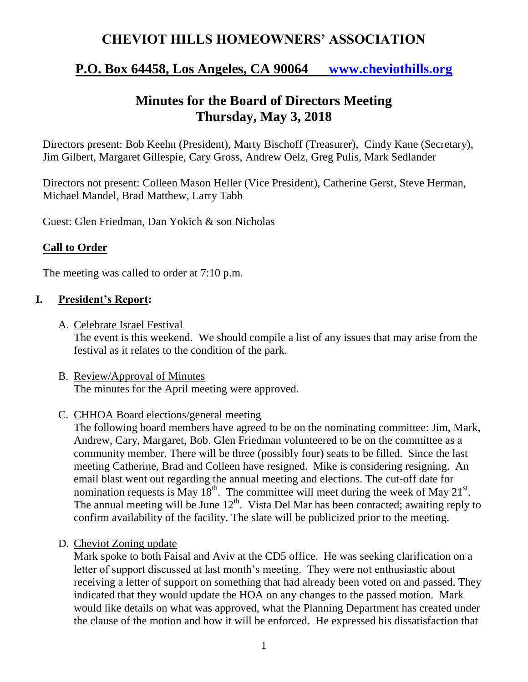## **CHEVIOT HILLS HOMEOWNERS' ASSOCIATION**

### **P.O. Box 64458, Los Angeles, CA 90064 [www.cheviothills.org](http://www.cheviothills.org/)**

# **Minutes for the Board of Directors Meeting Thursday, May 3, 2018**

Directors present: Bob Keehn (President), Marty Bischoff (Treasurer), Cindy Kane (Secretary), Jim Gilbert, Margaret Gillespie, Cary Gross, Andrew Oelz, Greg Pulis, Mark Sedlander

Directors not present: Colleen Mason Heller (Vice President), Catherine Gerst, Steve Herman, Michael Mandel, Brad Matthew, Larry Tabb

Guest: Glen Friedman, Dan Yokich & son Nicholas

### **Call to Order**

The meeting was called to order at 7:10 p.m.

#### **I. President's Report:**

A. Celebrate Israel Festival

The event is this weekend. We should compile a list of any issues that may arise from the festival as it relates to the condition of the park.

B. Review/Approval of Minutes The minutes for the April meeting were approved.

#### C. CHHOA Board elections/general meeting

The following board members have agreed to be on the nominating committee: Jim, Mark, Andrew, Cary, Margaret, Bob. Glen Friedman volunteered to be on the committee as a community member. There will be three (possibly four) seats to be filled. Since the last meeting Catherine, Brad and Colleen have resigned. Mike is considering resigning. An email blast went out regarding the annual meeting and elections. The cut-off date for nomination requests is May  $18<sup>th</sup>$ . The committee will meet during the week of May 21<sup>st</sup>. The annual meeting will be June  $12<sup>th</sup>$ . Vista Del Mar has been contacted; awaiting reply to confirm availability of the facility. The slate will be publicized prior to the meeting.

D. Cheviot Zoning update

Mark spoke to both Faisal and Aviv at the CD5 office. He was seeking clarification on a letter of support discussed at last month's meeting. They were not enthusiastic about receiving a letter of support on something that had already been voted on and passed. They indicated that they would update the HOA on any changes to the passed motion. Mark would like details on what was approved, what the Planning Department has created under the clause of the motion and how it will be enforced. He expressed his dissatisfaction that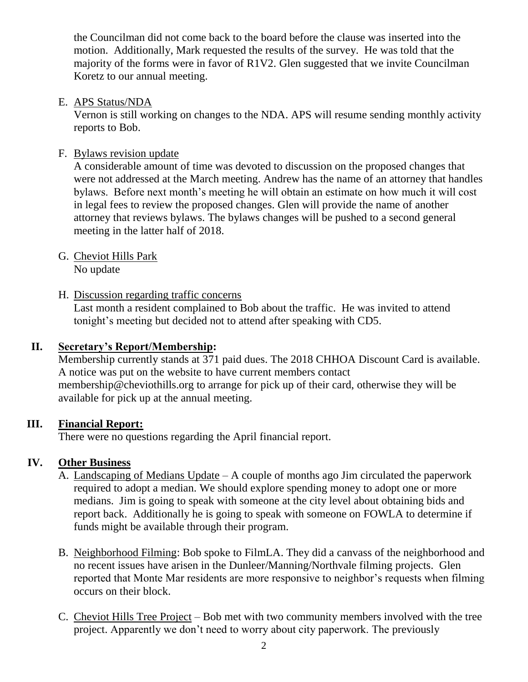the Councilman did not come back to the board before the clause was inserted into the motion. Additionally, Mark requested the results of the survey. He was told that the majority of the forms were in favor of R1V2. Glen suggested that we invite Councilman Koretz to our annual meeting.

#### E. APS Status/NDA

Vernon is still working on changes to the NDA. APS will resume sending monthly activity reports to Bob.

### F. Bylaws revision update

A considerable amount of time was devoted to discussion on the proposed changes that were not addressed at the March meeting. Andrew has the name of an attorney that handles bylaws. Before next month's meeting he will obtain an estimate on how much it will cost in legal fees to review the proposed changes. Glen will provide the name of another attorney that reviews bylaws. The bylaws changes will be pushed to a second general meeting in the latter half of 2018.

#### G. Cheviot Hills Park No update

### H. Discussion regarding traffic concerns

Last month a resident complained to Bob about the traffic. He was invited to attend tonight's meeting but decided not to attend after speaking with CD5.

### **II. Secretary's Report/Membership:**

Membership currently stands at 371 paid dues. The 2018 CHHOA Discount Card is available. A notice was put on the website to have current members contact membership@cheviothills.org to arrange for pick up of their card, otherwise they will be available for pick up at the annual meeting.

### **III. Financial Report:**

There were no questions regarding the April financial report.

### **IV. Other Business**

- A. Landscaping of Medians Update A couple of months ago Jim circulated the paperwork required to adopt a median. We should explore spending money to adopt one or more medians. Jim is going to speak with someone at the city level about obtaining bids and report back. Additionally he is going to speak with someone on FOWLA to determine if funds might be available through their program.
- B. Neighborhood Filming: Bob spoke to FilmLA. They did a canvass of the neighborhood and no recent issues have arisen in the Dunleer/Manning/Northvale filming projects. Glen reported that Monte Mar residents are more responsive to neighbor's requests when filming occurs on their block.
- C. Cheviot Hills Tree Project Bob met with two community members involved with the tree project. Apparently we don't need to worry about city paperwork. The previously